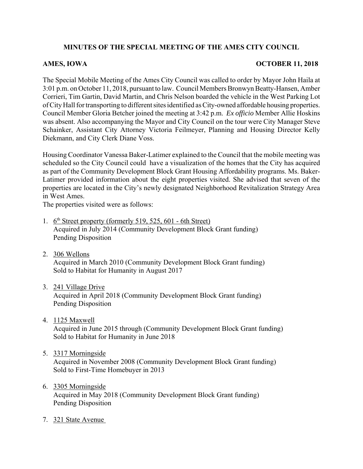## **MINUTES OF THE SPECIAL MEETING OF THE AMES CITY COUNCIL**

## AMES, IOWA **OCTOBER 11, 2018**

The Special Mobile Meeting of the Ames City Council was called to order by Mayor John Haila at 3:01 p.m. on October 11, 2018, pursuant to law. Council Members Bronwyn Beatty-Hansen, Amber Corrieri, Tim Gartin, David Martin, and Chris Nelson boarded the vehicle in the West Parking Lot of City Hall for transporting to different sites identified as City-owned affordable housing properties. Council Member Gloria Betcher joined the meeting at 3:42 p.m. *Ex officio* Member Allie Hoskins was absent. Also accompanying the Mayor and City Council on the tour were City Manager Steve Schainker, Assistant City Attorney Victoria Feilmeyer, Planning and Housing Director Kelly Diekmann, and City Clerk Diane Voss.

Housing Coordinator Vanessa Baker-Latimer explained to the Council that the mobile meeting was scheduled so the City Council could have a visualization of the homes that the City has acquired as part of the Community Development Block Grant Housing Affordability programs. Ms. Baker-Latimer provided information about the eight properties visited. She advised that seven of the properties are located in the City's newly designated Neighborhood Revitalization Strategy Area in West Ames.

The properties visited were as follows:

- 1.  $6<sup>th</sup>$  Street property (formerly 519, 525, 601 6th Street) Acquired in July 2014 (Community Development Block Grant funding) Pending Disposition
- 2. 306 Wellons Acquired in March 2010 (Community Development Block Grant funding) Sold to Habitat for Humanity in August 2017
- 3. 241 Village Drive

Acquired in April 2018 (Community Development Block Grant funding) Pending Disposition

4. 1125 Maxwell

Acquired in June 2015 through (Community Development Block Grant funding) Sold to Habitat for Humanity in June 2018

5. 3317 Morningside

Acquired in November 2008 (Community Development Block Grant funding) Sold to First-Time Homebuyer in 2013

## 6. 3305 Morningside

Acquired in May 2018 (Community Development Block Grant funding) Pending Disposition

7. 321 State Avenue